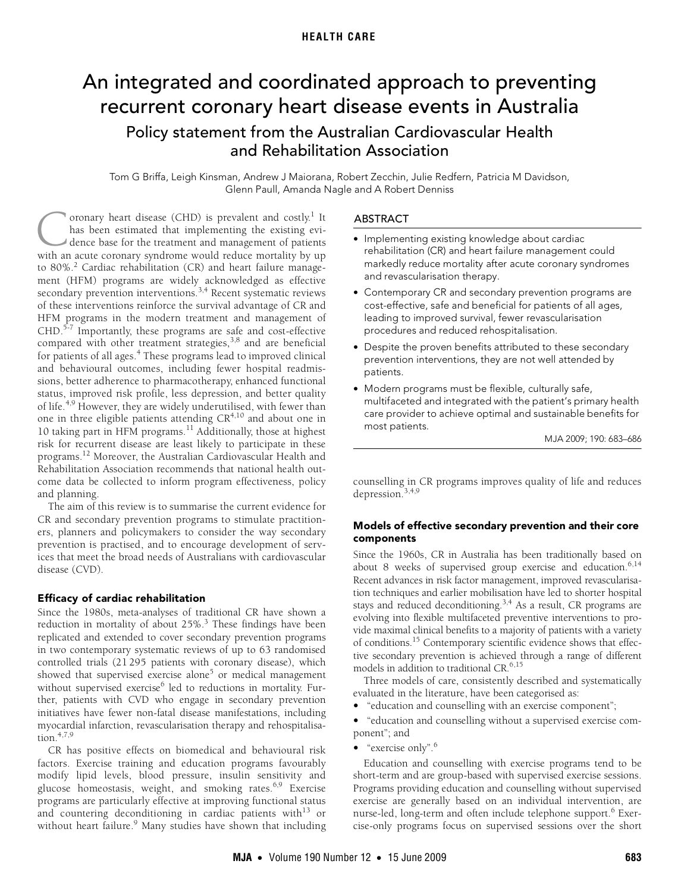# **HEALTH CARE**

# <span id="page-0-0"></span>An integrated and coordinated approach to preventing recurrent coronary heart disease events in Australia Policy statement from the Australian Cardiovascular Health and Rehabilitation Association

Tom G Briffa, Leigh Kinsman, Andrew J Maiorana, Robert Zecchin, Julie Redfern, Patricia M Davidson, Glenn Paull, Amanda Nagle and A Robert Denniss

for patients of all ages.<sup>[4](#page-3-3)</sup> These programs lead to improved clinical and behavioural outcomes, i[nclu](#page-0-0)[ding](#page-3-15) fewer hospital readmissions, better adherence to pharmacotherapy, enhanced functional status, improved risk profile, less depression, and better quality status, improved risk prome, less depression, and better quality<br>of life.<sup>[4](#page-3-3)[,9](#page-3-7)</sup> However, they are widely underutilised, with fewer than oronary heart disease (CHD) is prevalent and costly.<sup>[1](#page-3-0)</sup> It has been estimated that implementing the existing evidence base for the treatment and management of patients Coronary heart disease (CHD) is prevalent and costly.<sup>1</sup> It has been estimated that implementing the existing evidence base for the treatment and management of patients with an acute coronary syndrome would reduce mortalit to 80%.<sup>[2](#page-3-1)</sup> Cardiac rehabilitation (CR) and heart failure management (HFM) programs are widely acknowledged as effective secondary prevention interventions.<sup>[3,](#page-3-2)4</sup> Recent systematic reviews of these interventions reinforce the survival advantage of CR and HFM programs in the modern treatment and management of CHD.<sup>5-[7](#page-3-5)</sup> Importantly, these programs are safe and cost-effective compared with other treatment strategies,<sup>[3](#page-3-2),8</sup> and are beneficial one in three eligible patients attending CR[4](#page-3-3)[,10](#page-3-8) and about one in 10 taking part in HFM programs.<sup>11</sup> Additionally, those at highest risk for recurrent disease are least likely to participate in these programs[.12](#page-3-10) Moreover, the Australian Cardiovascular Health and Rehabilitation Association recommends that national health outcome data be collected to inform program effectiveness, policy and planning.

The aim of this review is to summarise the current evidence for CR and secondary prevention programs to stimulate practitioners, planners and policymakers to consider the way secondary prevention is practised, and to encourage development of services that meet the broad needs of Australians with cardiovascular disease (CVD).

#### Efficacy of cardiac rehabilitation

Since the 1980s, meta-analyses of traditional CR have shown a reduction in mortality of about 25%.<sup>[3](#page-3-2)</sup> These findings have been replicated and extended to cover secondary prevention programs in two contemporary systematic reviews of up to 63 randomised controlled trials (21 295 patients with coronary disease), which showed that supervised exercise alone<sup>[5](#page-3-4)</sup> or medical management without supervised exercise<sup>[6](#page-3-11)</sup> led to reductions in mortality. Further, patients with CVD who engage in secondary prevention initiatives have fewer non-fatal disease manifestations, including myocardial infarction, revascularisation therapy and rehospitalisation. $4,7,9$  $4,7,9$  $4,7,9$  $4,7,9$ 

CR has positive effects on biomedical and behavioural risk factors. Exercise training and education programs favourably modify lipid levels, blood pressure, insulin sensitivity and glucose homeostasis, weight, and smoking rates.<sup>[6,](#page-3-11)[9](#page-3-7)</sup> Exercise programs are particularly effective at improving functional status and countering deconditioning in cardiac patients with $13$  or without heart failure.<sup>[9](#page-3-7)</sup> Many studies have shown that including

#### ABSTRACT

- Implementing existing knowledge about cardiac rehabilitation (CR) and heart failure management could markedly reduce mortality after acute coronary syndromes and revascularisation therapy.
- Contemporary CR and secondary prevention programs are cost-effective, safe and beneficial for patients of all ages, leading to improved survival, fewer revascularisation procedures and reduced rehospitalisation.
- Despite the proven benefits attributed to these secondary prevention interventions, they are not well attended by patients.
- Modern programs must be flexible, culturally safe, multifaceted and integrated with the patient's primary health care provider to achieve optimal and sustainable benefits for most patients.

MJA 2009; 190: 683–686

counselling in CR programs improves quality of life and reduces depression.[3,](#page-3-2)[4,](#page-3-3)[9](#page-3-7)

#### Models of effective secondary prevention and their core components

Since the 1960s, CR in Australia has been traditionally based on about 8 weeks of supervised group exercise and education.<sup>[6](#page-3-11)[,14](#page-3-13)</sup> Recent advances in risk factor management, improved revascularisation techniques and earlier mobilisation have led to shorter hospital stays and reduced deconditioning.<sup>3,4</sup> As a result, CR programs are evolving into flexible multifaceted preventive interventions to provide maximal clinical benefits to a majority of patients with a variety of conditions[.15](#page-3-14) Contemporary scientific evidence shows that effective secondary prevention is achieved through a range of different models in addition to traditional CR.<sup>[6](#page-3-11),[15](#page-3-14)</sup>

Three models of care, consistently described and systematically evaluated in the literature, have been categorised as:

- "education and counselling with an exercise component";
- "education and counselling without a supervised exercise component"; and
- "exercise only".<sup>[6](#page-3-11)</sup>

Education and counselling with exercise programs tend to be short-term and are group-based with supervised exercise sessions. Programs providing education and counselling without supervised exercise are generally based on an individual intervention, are nurse-led, long-term and often include telephone support.<sup>[6](#page-3-11)</sup> Exercise-only programs focus on supervised sessions over the short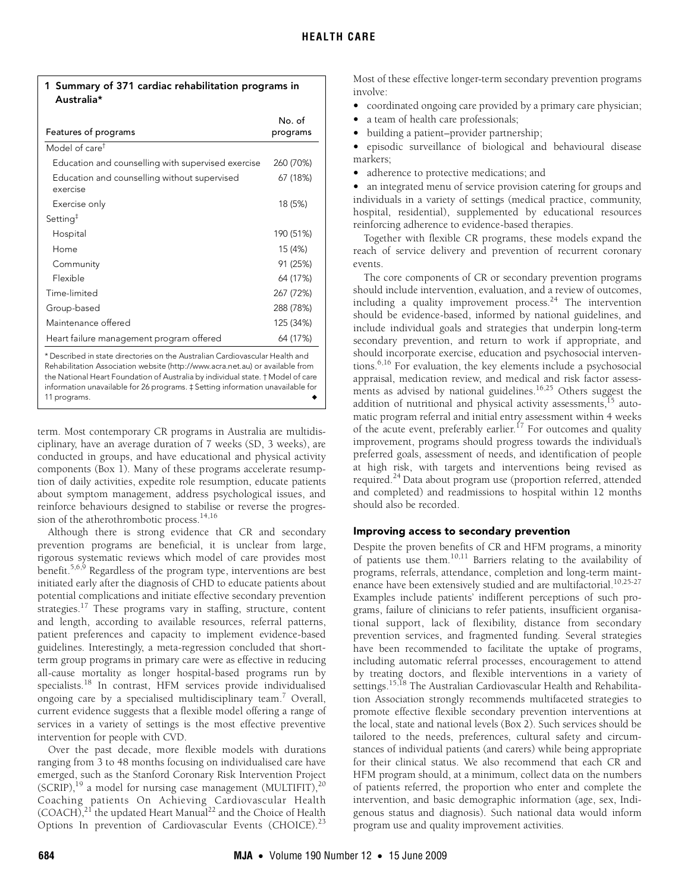| 1 Summary of 371 cardiac rehabilitation programs in |
|-----------------------------------------------------|
| Australia*                                          |

| Features of programs                                                         | No. of<br>programs |  |  |
|------------------------------------------------------------------------------|--------------------|--|--|
| Model of care <sup>†</sup>                                                   |                    |  |  |
| Education and counselling with supervised exercise                           | 260 (70%)          |  |  |
| Education and counselling without supervised<br>exercise                     | 67 (18%)           |  |  |
| Exercise only                                                                | 18 (5%)            |  |  |
| Setting <sup><math>‡</math></sup>                                            |                    |  |  |
| Hospital                                                                     | 190 (51%)          |  |  |
| Home                                                                         | 15 (4%)            |  |  |
| Community                                                                    | 91 (25%)           |  |  |
| Flexible                                                                     | 64 (17%)           |  |  |
| Time-limited                                                                 | 267 (72%)          |  |  |
| Group-based                                                                  | 288 (78%)          |  |  |
| Maintenance offered                                                          | 125 (34%)          |  |  |
| Heart failure management program offered                                     | 64 (17%)           |  |  |
| * Described in state directories on the Australian Cardiovascular Health and |                    |  |  |

\* Described in state directories on the Australian Cardiovascular Health and Rehabilitation Association website (http://www.acra.net.au) or available from the National Heart Foundation of Australia by individual state. † Model of care information unavailable for 26 programs. ‡ Setting information unavailable for 11 programs.

term. Most contemporary CR programs in Australia are multidisciplinary, have an average duration of 7 weeks (SD, 3 weeks), are conducted in groups, and have educational and physical activity components (Box 1). Many of these programs accelerate resumption of daily activities, expedite role resumption, educate patients about symptom management, address psychological issues, and reinforce behaviours designed to stabilise or reverse the progres-sion of the atherothrombotic process.<sup>[14](#page-3-13)[,16](#page-3-16)</sup>

Although there is strong evidence that CR and secondary prevention programs are beneficial, it is unclear from large, rigorous systematic reviews which model of care provides most benefit.<sup>5[,6](#page-3-11),[9](#page-3-7)</sup> Regardless of the program type, interventions are best initiated early after the diagnosis of CHD to educate patients about potential complications and initiate effective secondary prevention strategies.<sup>17</sup> These programs vary in staffing, structure, content and length, according to available resources, referral patterns, patient preferences and capacity to implement evidence-based guidelines. Interestingly, a meta-regression concluded that shortterm group programs in primary care were as effective in reducing all-cause mortality as longer hospital-based programs run by specialists.[18](#page-3-18) In contrast, HFM services provide individualised ongoing care by a specialised multidisciplinary team.<sup>[7](#page-3-5)</sup> Overall, current evidence suggests that a flexible model offering a range of services in a variety of settings is the most effective preventive intervention for people with CVD.

Over the past decade, more flexible models with durations ranging from 3 to 48 months focusing on individualised care have emerged, such as the Stanford Coronary Risk Intervention Project  $(SCRIP),<sup>19</sup>$  a model for nursing case management (MULTIFIT),<sup>[20](#page-3-20)</sup> Coaching patients On Achieving Cardiovascular Health  $(COACH),<sup>21</sup>$  the updated Heart Manual<sup>22</sup> and the Choice of Health Options In prevention of Cardiovascular Events (CHOICE).<sup>[23](#page-3-23)</sup>

Most of these effective longer-term secondary prevention programs involve:

- coordinated ongoing care provided by a primary care physician;
- a team of health care professionals;
- building a patient–provider partnership;

• episodic surveillance of biological and behavioural disease markers;

• adherence to protective medications; and

• an integrated menu of service provision catering for groups and individuals in a variety of settings (medical practice, community, hospital, residential), supplemented by educational resources reinforcing adherence to evidence-based therapies.

Together with flexible CR programs, these models expand the reach of service delivery and prevention of recurrent coronary events.

The core components of CR or secondary prevention programs should include intervention, evaluation, and a review of outcomes, including a quality improvement process.<sup>24</sup> The intervention should be evidence-based, informed by national guidelines, and include individual goals and strategies that underpin long-term secondary prevention, and return to work if appropriate, and should incorporate exercise, education and psychosocial interventions[.6,](#page-3-11)[16](#page-3-16) For evaluation, the key elements include a psychosocial appraisal, medication review, and medical and risk factor assess-ments as advised by national guidelines.<sup>16[,25](#page-3-25)</sup> Others suggest the addition of nutritional and physical activity assessments,<sup>[15](#page-3-14)</sup> automatic program referral and initial entry assessment within 4 weeks of the acute event, preferably earlier.<sup>17</sup> For outcomes and quality improvement, programs should progress towards the individual's preferred goals, assessment of needs, and identification of people at high risk, with targets and interventions being revised as required.<sup>[24](#page-3-24)</sup> Data about program use (proportion referred, attended and completed) and readmissions to hospital within 12 months should also be recorded.

## Improving access to secondary prevention

Despite the proven benefits of CR and HFM programs, a minority of patients use them.[10](#page-3-8)[,11](#page-3-9) Barriers relating to the availability of programs, referrals, attendance, completion and long-term maint-enance have been extensively studied and are multifactorial.<sup>10[,25-](#page-3-25)[27](#page-3-26)</sup> Examples include patients' indifferent perceptions of such programs, failure of clinicians to refer patients, insufficient organisational support, lack of flexibility, distance from secondary prevention services, and fragmented funding. Several strategies have been recommended to facilitate the uptake of programs, including automatic referral processes, encouragement to attend by treating doctors, and flexible interventions in a variety of settings[.15](#page-3-14),[18](#page-3-18) The Australian Cardiovascular Health and Rehabilitation Association strongly recommends multifaceted strategies to promote effective flexible secondary prevention interventions at the local, state and national levels (Box 2). Such services should be tailored to the needs, preferences, cultural safety and circumstances of individual patients (and carers) while being appropriate for their clinical status. We also recommend that each CR and HFM program should, at a minimum, collect data on the numbers of patients referred, the proportion who enter and complete the intervention, and basic demographic information (age, sex, Indigenous status and diagnosis). Such national data would inform program use and quality improvement activities.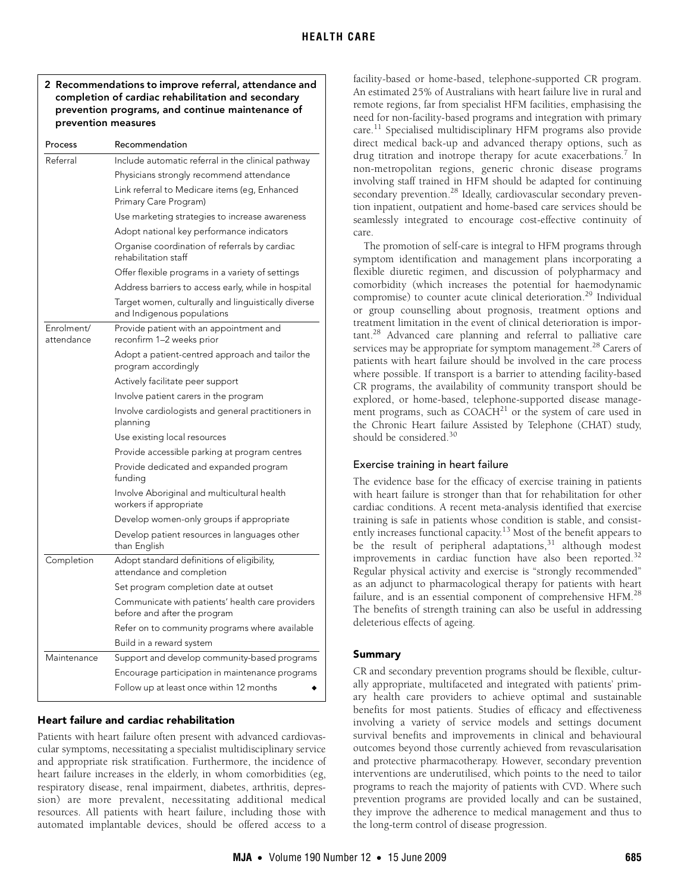# 2 Recommendations to improve referral, attendance and completion of cardiac rehabilitation and secondary prevention programs, and continue maintenance of prevention measures

| Process                  | Recommendation                                                                    |
|--------------------------|-----------------------------------------------------------------------------------|
| Referral                 | Include automatic referral in the clinical pathway                                |
|                          | Physicians strongly recommend attendance                                          |
|                          | Link referral to Medicare items (eg, Enhanced<br>Primary Care Program)            |
|                          | Use marketing strategies to increase awareness                                    |
|                          | Adopt national key performance indicators                                         |
|                          | Organise coordination of referrals by cardiac<br>rehabilitation staff             |
|                          | Offer flexible programs in a variety of settings                                  |
|                          | Address barriers to access early, while in hospital                               |
|                          | Target women, culturally and linguistically diverse<br>and Indigenous populations |
| Enrolment/<br>attendance | Provide patient with an appointment and<br>reconfirm 1–2 weeks prior              |
|                          | Adopt a patient-centred approach and tailor the<br>program accordingly            |
|                          | Actively facilitate peer support                                                  |
|                          | Involve patient carers in the program                                             |
|                          | Involve cardiologists and general practitioners in<br>planning                    |
|                          | Use existing local resources                                                      |
|                          | Provide accessible parking at program centres                                     |
|                          | Provide dedicated and expanded program<br>funding                                 |
|                          | Involve Aboriginal and multicultural health<br>workers if appropriate             |
|                          | Develop women-only groups if appropriate                                          |
|                          | Develop patient resources in languages other<br>than English                      |
| Completion               | Adopt standard definitions of eligibility,<br>attendance and completion           |
|                          | Set program completion date at outset                                             |
|                          | Communicate with patients' health care providers<br>before and after the program  |
|                          | Refer on to community programs where available                                    |
|                          | Build in a reward system                                                          |
| Maintenance              | Support and develop community-based programs                                      |
|                          | Encourage participation in maintenance programs                                   |
|                          | Follow up at least once within 12 months                                          |
|                          |                                                                                   |

## Heart failure and cardiac rehabilitation

Patients with heart failure often present with advanced cardiovascular symptoms, necessitating a specialist multidisciplinary service and appropriate risk stratification. Furthermore, the incidence of heart failure increases in the elderly, in whom comorbidities (eg, respiratory disease, renal impairment, diabetes, arthritis, depression) are more prevalent, necessitating additional medical resources. All patients with heart failure, including those with automated implantable devices, should be offered access to a facility-based or home-based, telephone-supported CR program. An estimated 25% of Australians with heart failure live in rural and remote regions, far from specialist HFM facilities, emphasising the need for non-facility-based programs and integration with primary care.[11](#page-3-9) Specialised multidisciplinary HFM programs also provide direct medical back-up and advanced therapy options, such as drug titration and inotrope therapy for acute exacerbations.<sup>[7](#page-3-5)</sup> In non-metropolitan regions, generic chronic disease programs involving staff trained in HFM should be adapted for continuing secondary prevention.<sup>28</sup> Ideally, cardiovascular secondary prevention inpatient, outpatient and home-based care services should be seamlessly integrated to encourage cost-effective continuity of care.

The promotion of self-care is integral to HFM programs through symptom identification and management plans incorporating a flexible diuretic regimen, and discussion of polypharmacy and comorbidity (which increases the potential for haemodynamic compromise) to counter acute clinical deterioration.<sup>29</sup> Individual or group counselling about prognosis, treatment options and treatment limitation in the event of clinical deterioration is important[.28](#page-3-27) Advanced care planning and referral to palliative care services may be appropriate for symptom management.<sup>28</sup> Carers of patients with heart failure should be involved in the care process where possible. If transport is a barrier to attending facility-based CR programs, the availability of community transport should be explored, or home-based, telephone-supported disease management programs, such as  $COACH<sup>21</sup>$  $COACH<sup>21</sup>$  $COACH<sup>21</sup>$  or the system of care used in the Chronic Heart failure Assisted by Telephone (CHAT) study, should be considered.<sup>[30](#page-3-29)</sup>

#### Exercise training in heart failure

The evidence base for the efficacy of exercise training in patients with heart failure is stronger than that for rehabilitation for other cardiac conditions. A recent meta-analysis identified that exercise training is safe in patients whose condition is stable, and consistently increases functional capacity[.13](#page-3-12) Most of the benefit appears to be the result of peripheral adaptations, $31$  although modest improvements in cardiac function have also been reported.<sup>[32](#page-3-15)</sup> Regular physical activity and exercise is "strongly recommended" as an adjunct to pharmacological therapy for patients with heart failure, and is an essential component of comprehensive HFM.<sup>[28](#page-3-27)</sup> The benefits of strength training can also be useful in addressing deleterious effects of ageing.

#### Summary

CR and secondary prevention programs should be flexible, culturally appropriate, multifaceted and integrated with patients' primary health care providers to achieve optimal and sustainable benefits for most patients. Studies of efficacy and effectiveness involving a variety of service models and settings document survival benefits and improvements in clinical and behavioural outcomes beyond those currently achieved from revascularisation and protective pharmacotherapy. However, secondary prevention interventions are underutilised, which points to the need to tailor programs to reach the majority of patients with CVD. Where such prevention programs are provided locally and can be sustained, they improve the adherence to medical management and thus to the long-term control of disease progression.